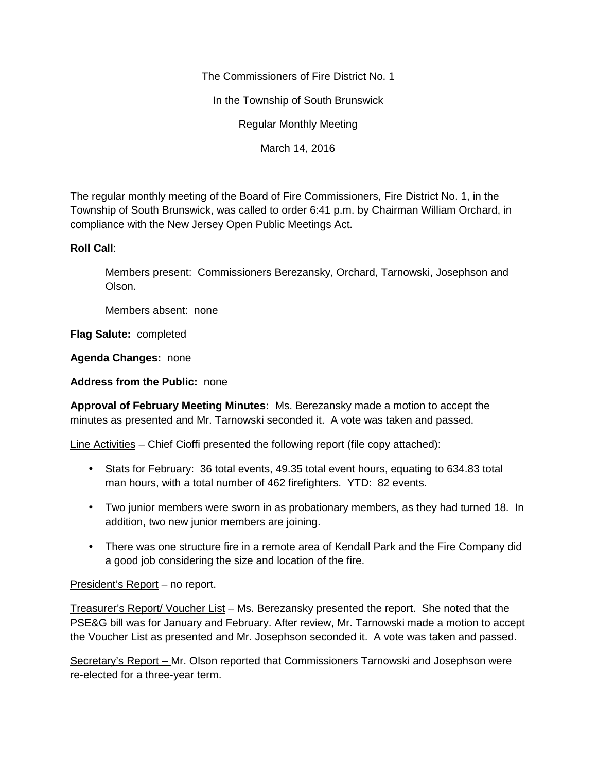The Commissioners of Fire District No. 1

In the Township of South Brunswick

Regular Monthly Meeting

March 14, 2016

The regular monthly meeting of the Board of Fire Commissioners, Fire District No. 1, in the Township of South Brunswick, was called to order 6:41 p.m. by Chairman William Orchard, in compliance with the New Jersey Open Public Meetings Act.

# **Roll Call**:

Members present: Commissioners Berezansky, Orchard, Tarnowski, Josephson and Olson.

Members absent: none

**Flag Salute:** completed

**Agenda Changes:** none

**Address from the Public:** none

**Approval of February Meeting Minutes:** Ms. Berezansky made a motion to accept the minutes as presented and Mr. Tarnowski seconded it. A vote was taken and passed.

Line Activities – Chief Cioffi presented the following report (file copy attached):

- Stats for February: 36 total events, 49.35 total event hours, equating to 634.83 total man hours, with a total number of 462 firefighters. YTD: 82 events.
- Two junior members were sworn in as probationary members, as they had turned 18. In addition, two new junior members are joining.
- There was one structure fire in a remote area of Kendall Park and the Fire Company did a good job considering the size and location of the fire.

# President's Report – no report.

Treasurer's Report/ Voucher List – Ms. Berezansky presented the report. She noted that the PSE&G bill was for January and February. After review, Mr. Tarnowski made a motion to accept the Voucher List as presented and Mr. Josephson seconded it. A vote was taken and passed.

Secretary's Report – Mr. Olson reported that Commissioners Tarnowski and Josephson were re-elected for a three-year term.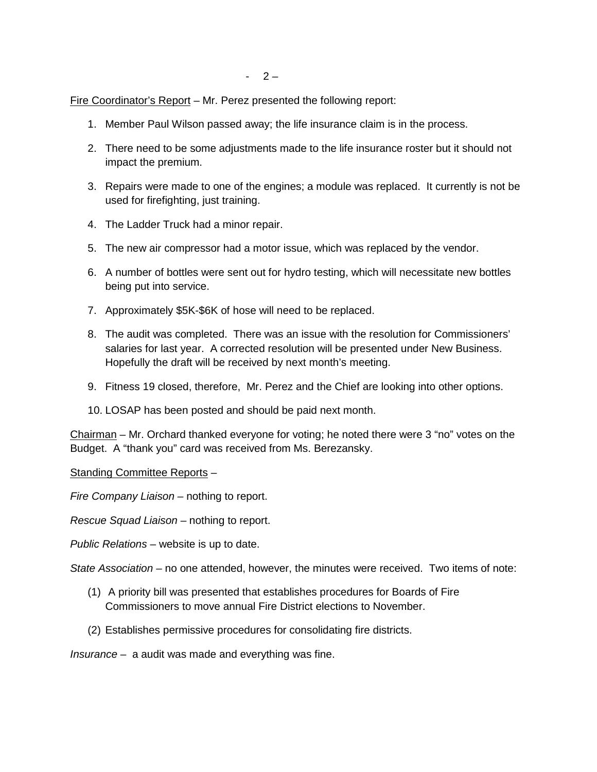Fire Coordinator's Report – Mr. Perez presented the following report:

- 1. Member Paul Wilson passed away; the life insurance claim is in the process.
- 2. There need to be some adjustments made to the life insurance roster but it should not impact the premium.
- 3. Repairs were made to one of the engines; a module was replaced. It currently is not be used for firefighting, just training.
- 4. The Ladder Truck had a minor repair.
- 5. The new air compressor had a motor issue, which was replaced by the vendor.
- 6. A number of bottles were sent out for hydro testing, which will necessitate new bottles being put into service.
- 7. Approximately \$5K-\$6K of hose will need to be replaced.
- 8. The audit was completed. There was an issue with the resolution for Commissioners' salaries for last year. A corrected resolution will be presented under New Business. Hopefully the draft will be received by next month's meeting.
- 9. Fitness 19 closed, therefore, Mr. Perez and the Chief are looking into other options.
- 10. LOSAP has been posted and should be paid next month.

Chairman – Mr. Orchard thanked everyone for voting; he noted there were 3 "no" votes on the Budget. A "thank you" card was received from Ms. Berezansky.

Standing Committee Reports –

*Fire Company Liaison –* nothing to report.

*Rescue Squad Liaison –* nothing to report.

*Public Relations –* website is up to date.

*State Association –* no one attended, however, the minutes were received. Two items of note:

- (1) A priority bill was presented that establishes procedures for Boards of Fire Commissioners to move annual Fire District elections to November.
- (2) Establishes permissive procedures for consolidating fire districts.

*Insurance –* a audit was made and everything was fine.